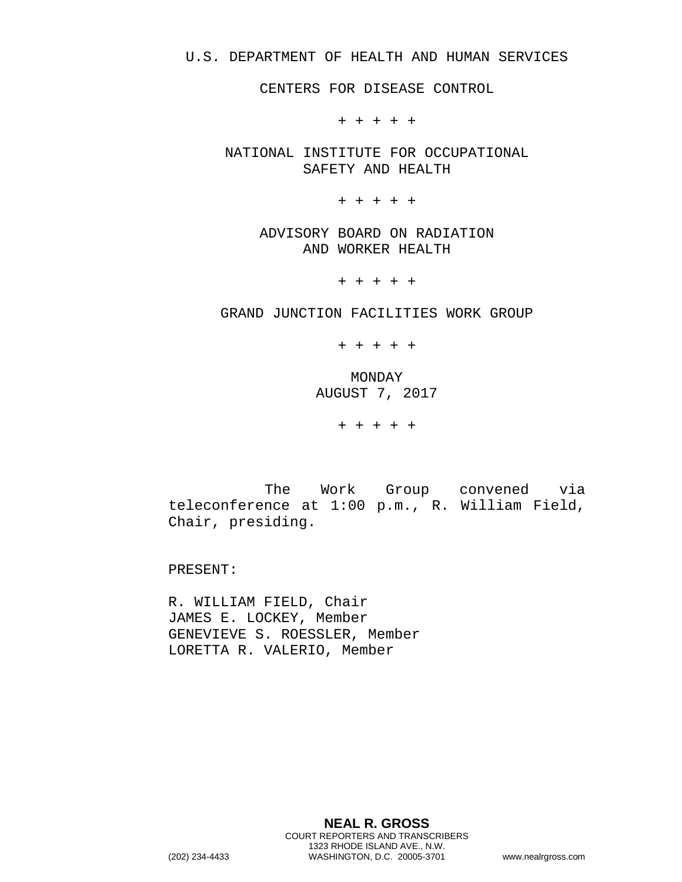## U.S. DEPARTMENT OF HEALTH AND HUMAN SERVICES

CENTERS FOR DISEASE CONTROL

+ + + + +

NATIONAL INSTITUTE FOR OCCUPATIONAL SAFETY AND HEALTH

+ + + + +

ADVISORY BOARD ON RADIATION AND WORKER HEALTH

+ + + + +

GRAND JUNCTION FACILITIES WORK GROUP

+ + + + +

MONDAY AUGUST 7, 2017

+ + + + +

The Work Group convened via teleconference at 1:00 p.m., R. William Field, Chair, presiding.

PRESENT:

R. WILLIAM FIELD, Chair JAMES E. LOCKEY, Member GENEVIEVE S. ROESSLER, Member LORETTA R. VALERIO, Member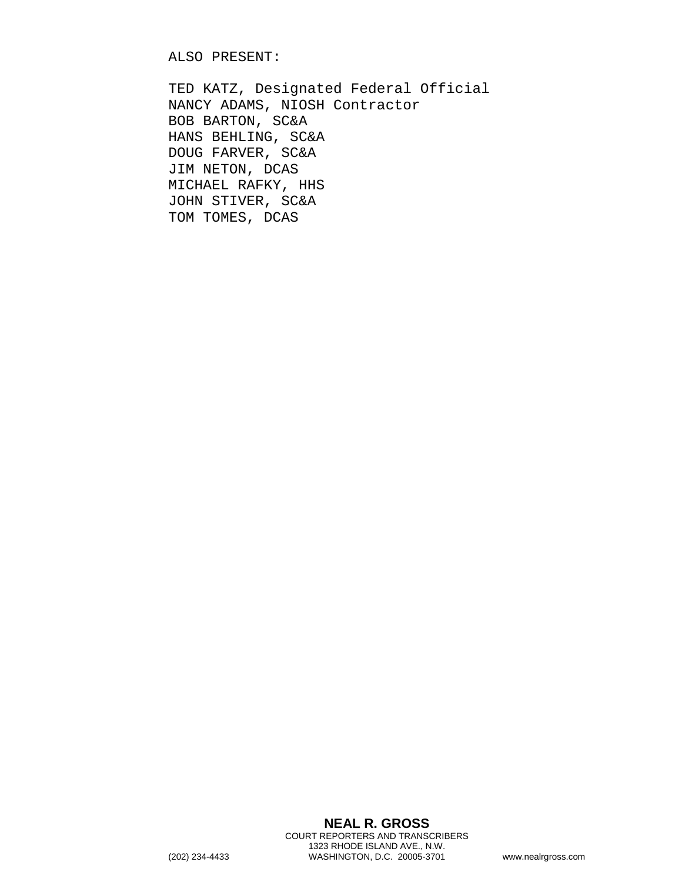ALSO PRESENT:

TED KATZ, Designated Federal Official NANCY ADAMS, NIOSH Contractor BOB BARTON, SC&A HANS BEHLING, SC&A DOUG FARVER, SC&A JIM NETON, DCAS MICHAEL RAFKY, HHS JOHN STIVER, SC&A TOM TOMES, DCAS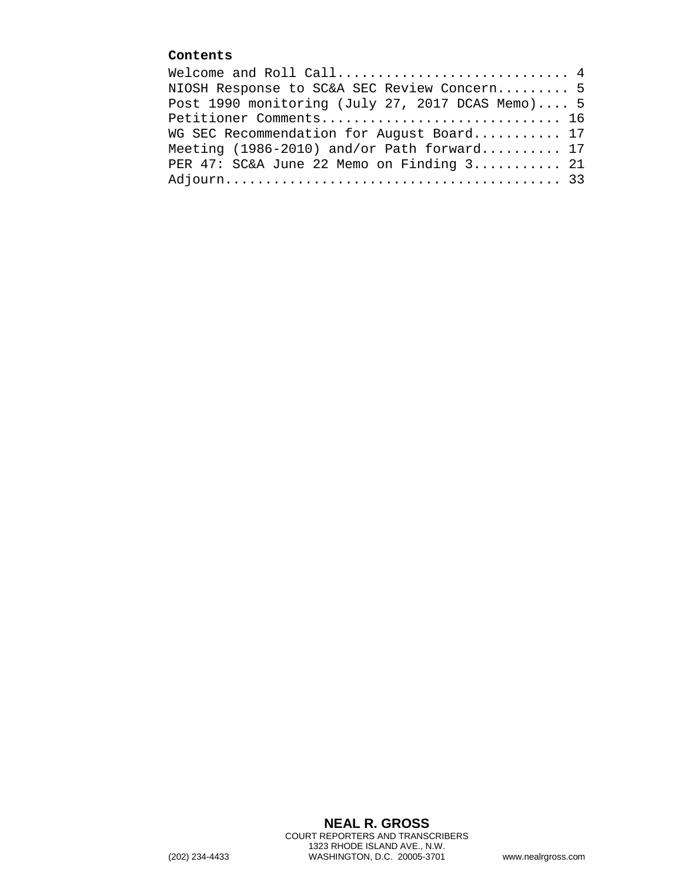## **Contents**

| Welcome and Roll Call $4$                        |  |
|--------------------------------------------------|--|
| NIOSH Response to SC&A SEC Review Concern 5      |  |
| Post 1990 monitoring (July 27, 2017 DCAS Memo) 5 |  |
| Petitioner Comments 16                           |  |
| WG SEC Recommendation for August Board 17        |  |
| Meeting (1986-2010) and/or Path forward 17       |  |
| PER 47: SC&A June 22 Memo on Finding 3 21        |  |
|                                                  |  |
|                                                  |  |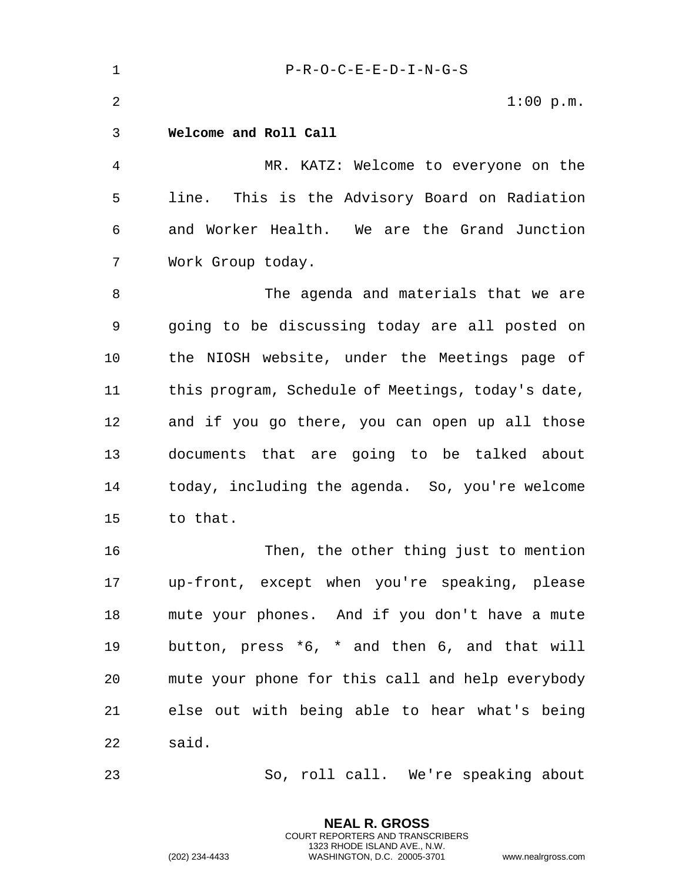<span id="page-3-0"></span>1 P-R-O-C-E-E-D-I-N-G-S 2 1:00 p.m. 3 **Welcome and Roll Call**  4 MR. KATZ: Welcome to everyone on the 5 line. This is the Advisory Board on Radiation 6 and Worker Health. We are the Grand Junction 7 Work Group today. 8 The agenda and materials that we are 9 going to be discussing today are all posted on 10 the NIOSH website, under the Meetings page of 11 this program, Schedule of Meetings, today's date, 12 and if you go there, you can open up all those 13 documents that are going to be talked about 14 today, including the agenda. So, you're welcome 15 to that. 16 Then, the other thing just to mention 17 up-front, except when you're speaking, please 18 mute your phones. And if you don't have a mute 19 button, press \*6, \* and then 6, and that will 20 mute your phone for this call and help everybody 21 else out with being able to hear what's being 22 said.

23 So, roll call. We're speaking about

**NEAL R. GROSS** COURT REPORTERS AND TRANSCRIBERS 1323 RHODE ISLAND AVE., N.W.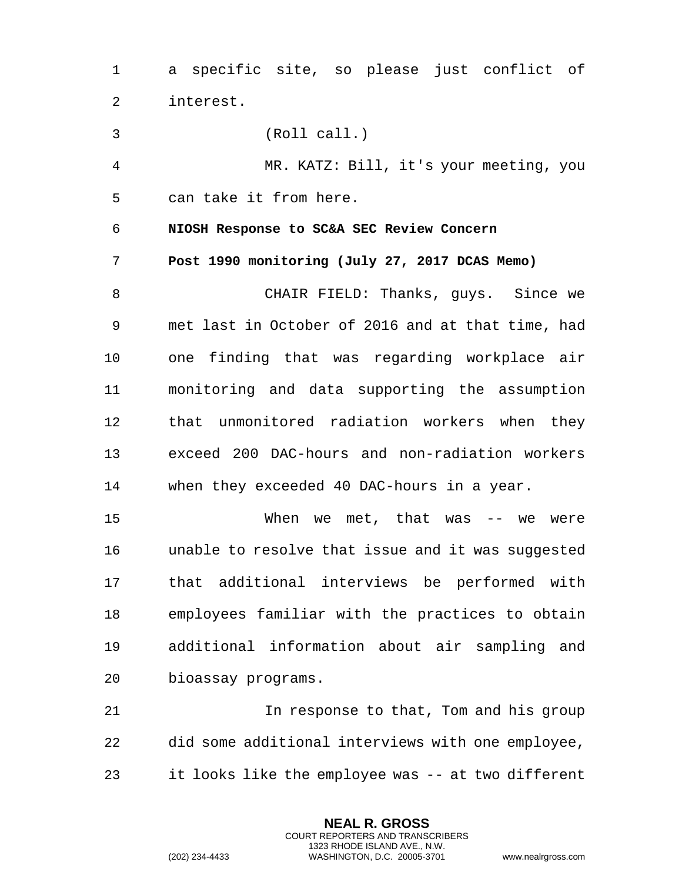1 a specific site, so please just conflict of 2 interest.

<span id="page-4-1"></span><span id="page-4-0"></span>3 (Roll call.) 4 MR. KATZ: Bill, it's your meeting, you 5 can take it from here. 6 **NIOSH Response to SC&A SEC Review Concern**  7 **Post 1990 monitoring (July 27, 2017 DCAS Memo)**  8 CHAIR FIELD: Thanks, guys. Since we 9 met last in October of 2016 and at that time, had 10 one finding that was regarding workplace air 11 monitoring and data supporting the assumption 12 that unmonitored radiation workers when they 13 exceed 200 DAC-hours and non-radiation workers 14 when they exceeded 40 DAC-hours in a year. 15 When we met, that was -- we were 16 unable to resolve that issue and it was suggested 17 that additional interviews be performed with 18 employees familiar with the practices to obtain

19 additional information about air sampling and 20 bioassay programs.

21 120 In response to that, Tom and his group 22 did some additional interviews with one employee, 23 it looks like the employee was -- at two different

> **NEAL R. GROSS** COURT REPORTERS AND TRANSCRIBERS 1323 RHODE ISLAND AVE., N.W.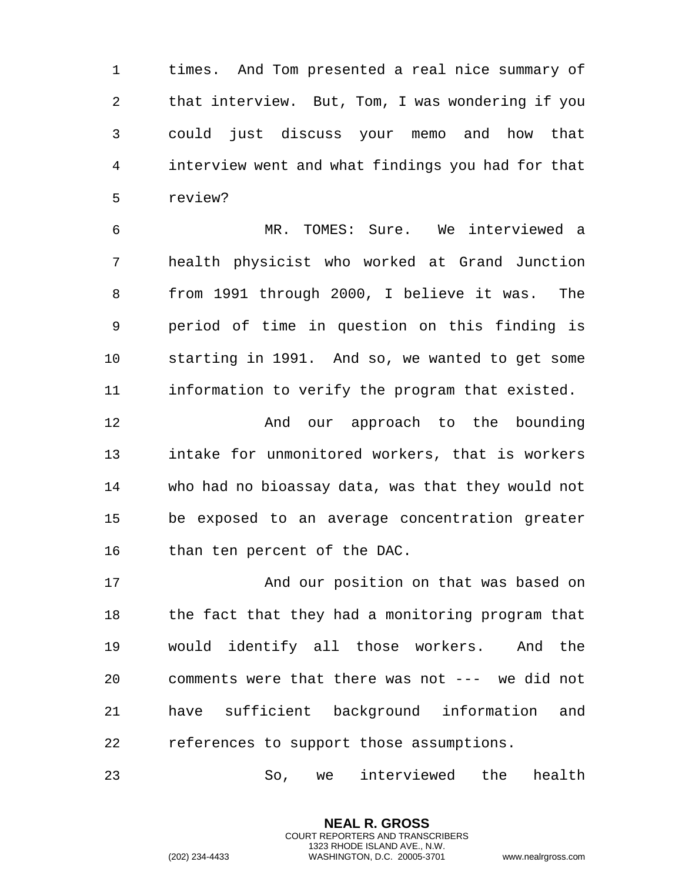times. And Tom presented a real nice summary of that interview. But, Tom, I was wondering if you could just discuss your memo and how that interview went and what findings you had for that review?

 MR. TOMES: Sure. We interviewed a health physicist who worked at Grand Junction from 1991 through 2000, I believe it was. The period of time in question on this finding is starting in 1991. And so, we wanted to get some information to verify the program that existed.

12 And our approach to the bounding intake for unmonitored workers, that is workers who had no bioassay data, was that they would not be exposed to an average concentration greater than ten percent of the DAC.

 And our position on that was based on the fact that they had a monitoring program that would identify all those workers. And the comments were that there was not --- we did not have sufficient background information and references to support those assumptions.

So, we interviewed the health

**NEAL R. GROSS** COURT REPORTERS AND TRANSCRIBERS 1323 RHODE ISLAND AVE., N.W.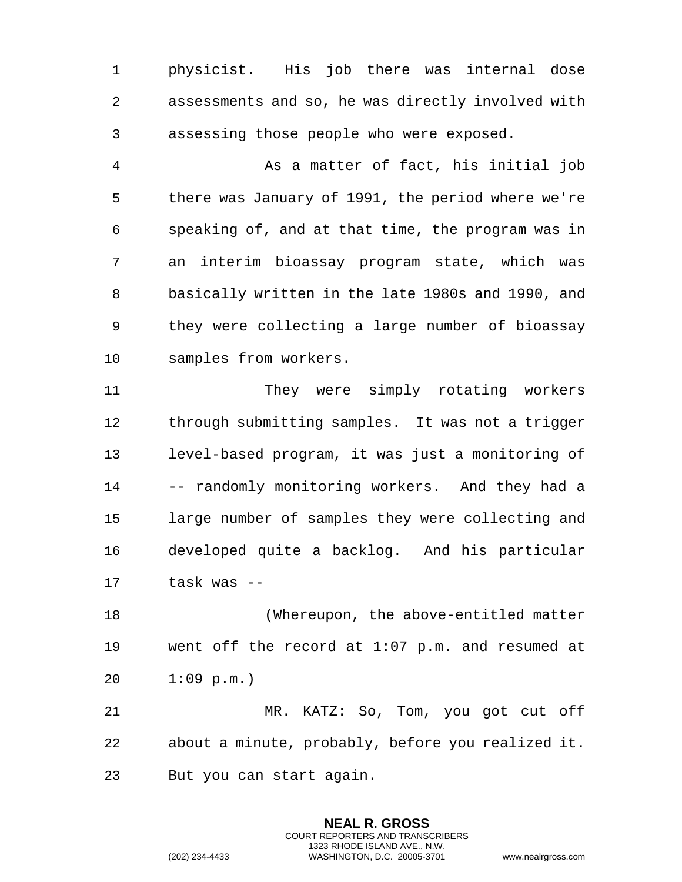physicist. His job there was internal dose assessments and so, he was directly involved with assessing those people who were exposed.

 As a matter of fact, his initial job there was January of 1991, the period where we're speaking of, and at that time, the program was in an interim bioassay program state, which was basically written in the late 1980s and 1990, and they were collecting a large number of bioassay samples from workers.

 They were simply rotating workers through submitting samples. It was not a trigger level-based program, it was just a monitoring of -- randomly monitoring workers. And they had a large number of samples they were collecting and developed quite a backlog. And his particular task was --

 (Whereupon, the above-entitled matter went off the record at 1:07 p.m. and resumed at 1:09 p.m.)

 MR. KATZ: So, Tom, you got cut off about a minute, probably, before you realized it. But you can start again.

> **NEAL R. GROSS** COURT REPORTERS AND TRANSCRIBERS 1323 RHODE ISLAND AVE., N.W.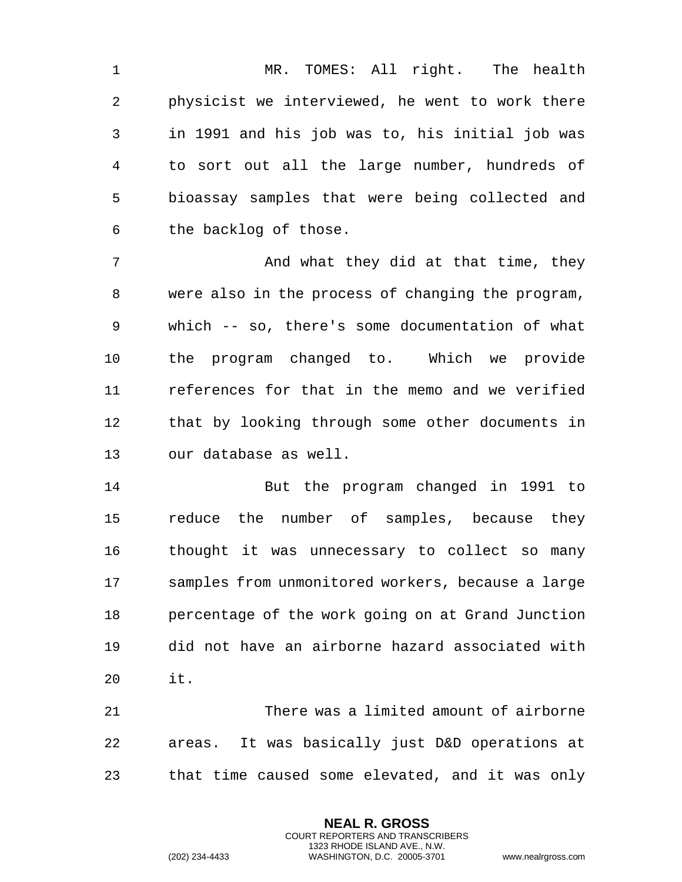MR. TOMES: All right. The health physicist we interviewed, he went to work there in 1991 and his job was to, his initial job was to sort out all the large number, hundreds of bioassay samples that were being collected and the backlog of those.

7 And what they did at that time, they were also in the process of changing the program, which -- so, there's some documentation of what the program changed to. Which we provide references for that in the memo and we verified that by looking through some other documents in our database as well.

 But the program changed in 1991 to reduce the number of samples, because they thought it was unnecessary to collect so many samples from unmonitored workers, because a large percentage of the work going on at Grand Junction did not have an airborne hazard associated with it.

 There was a limited amount of airborne areas. It was basically just D&D operations at that time caused some elevated, and it was only

> **NEAL R. GROSS** COURT REPORTERS AND TRANSCRIBERS 1323 RHODE ISLAND AVE., N.W.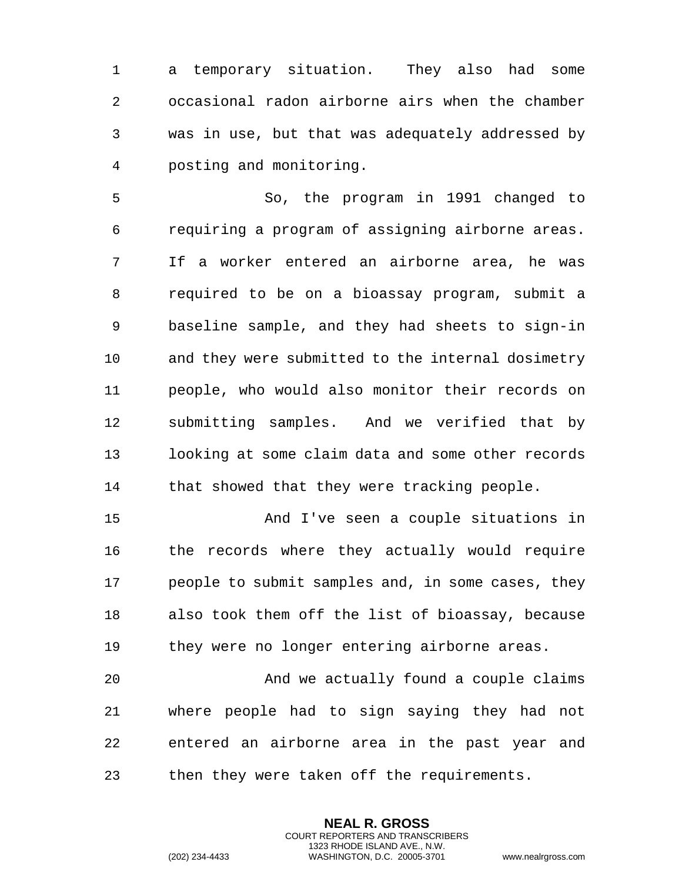a temporary situation. They also had some occasional radon airborne airs when the chamber was in use, but that was adequately addressed by posting and monitoring.

 So, the program in 1991 changed to requiring a program of assigning airborne areas. If a worker entered an airborne area, he was required to be on a bioassay program, submit a baseline sample, and they had sheets to sign-in and they were submitted to the internal dosimetry people, who would also monitor their records on submitting samples. And we verified that by looking at some claim data and some other records 14 that showed that they were tracking people.

 And I've seen a couple situations in the records where they actually would require people to submit samples and, in some cases, they also took them off the list of bioassay, because they were no longer entering airborne areas.

 And we actually found a couple claims where people had to sign saying they had not entered an airborne area in the past year and then they were taken off the requirements.

> **NEAL R. GROSS** COURT REPORTERS AND TRANSCRIBERS 1323 RHODE ISLAND AVE., N.W.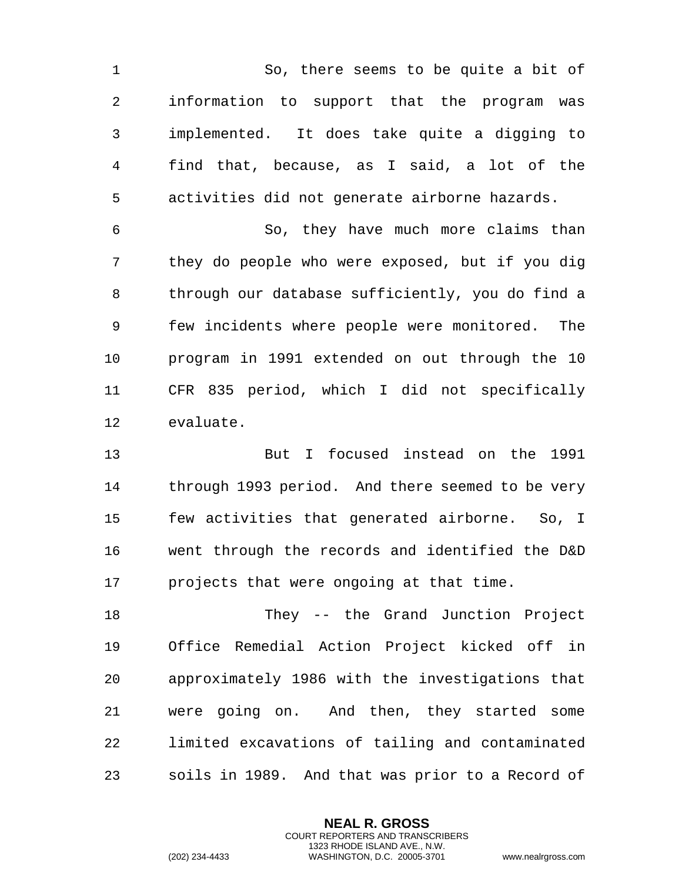So, there seems to be quite a bit of information to support that the program was implemented. It does take quite a digging to find that, because, as I said, a lot of the activities did not generate airborne hazards.

 So, they have much more claims than they do people who were exposed, but if you dig through our database sufficiently, you do find a few incidents where people were monitored. The program in 1991 extended on out through the 10 CFR 835 period, which I did not specifically evaluate.

 But I focused instead on the 1991 through 1993 period. And there seemed to be very few activities that generated airborne. So, I went through the records and identified the D&D projects that were ongoing at that time.

 They -- the Grand Junction Project Office Remedial Action Project kicked off in approximately 1986 with the investigations that were going on. And then, they started some limited excavations of tailing and contaminated soils in 1989. And that was prior to a Record of

> **NEAL R. GROSS** COURT REPORTERS AND TRANSCRIBERS 1323 RHODE ISLAND AVE., N.W.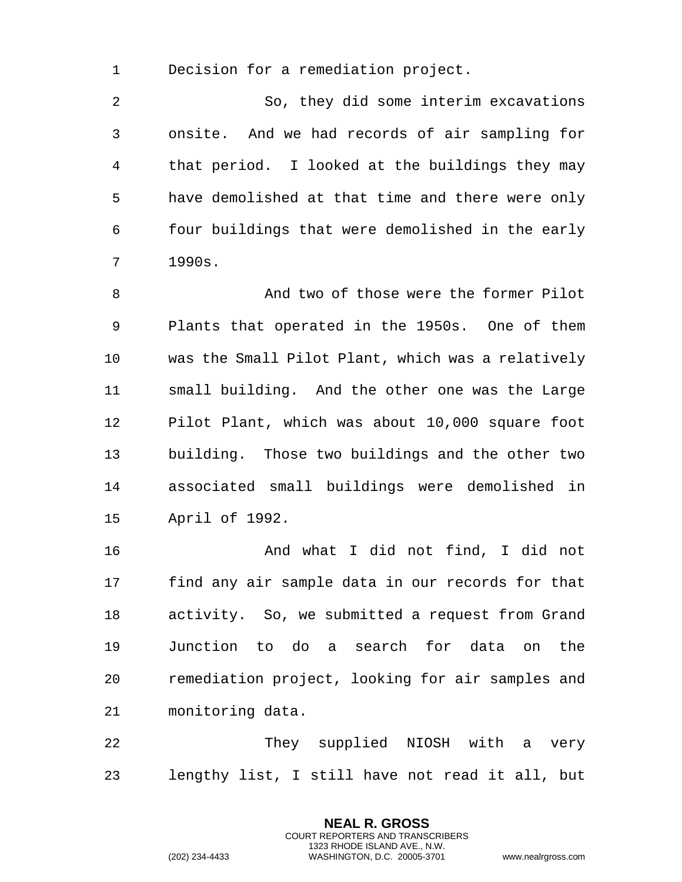Decision for a remediation project.

 So, they did some interim excavations onsite. And we had records of air sampling for that period. I looked at the buildings they may have demolished at that time and there were only four buildings that were demolished in the early 1990s.

 And two of those were the former Pilot Plants that operated in the 1950s. One of them was the Small Pilot Plant, which was a relatively small building. And the other one was the Large Pilot Plant, which was about 10,000 square foot building. Those two buildings and the other two associated small buildings were demolished in April of 1992.

 And what I did not find, I did not find any air sample data in our records for that activity. So, we submitted a request from Grand Junction to do a search for data on the remediation project, looking for air samples and monitoring data.

 They supplied NIOSH with a very lengthy list, I still have not read it all, but

> **NEAL R. GROSS** COURT REPORTERS AND TRANSCRIBERS 1323 RHODE ISLAND AVE., N.W.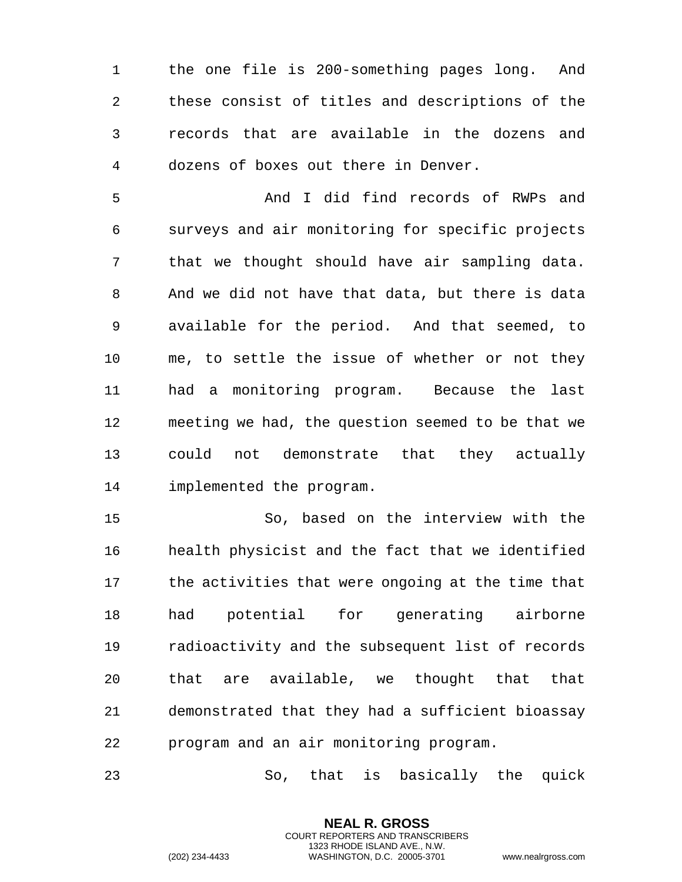the one file is 200-something pages long. And these consist of titles and descriptions of the records that are available in the dozens and dozens of boxes out there in Denver.

 And I did find records of RWPs and surveys and air monitoring for specific projects that we thought should have air sampling data. And we did not have that data, but there is data available for the period. And that seemed, to me, to settle the issue of whether or not they had a monitoring program. Because the last meeting we had, the question seemed to be that we could not demonstrate that they actually implemented the program.

 So, based on the interview with the health physicist and the fact that we identified the activities that were ongoing at the time that had potential for generating airborne radioactivity and the subsequent list of records that are available, we thought that that demonstrated that they had a sufficient bioassay program and an air monitoring program.

So, that is basically the quick

**NEAL R. GROSS** COURT REPORTERS AND TRANSCRIBERS 1323 RHODE ISLAND AVE., N.W.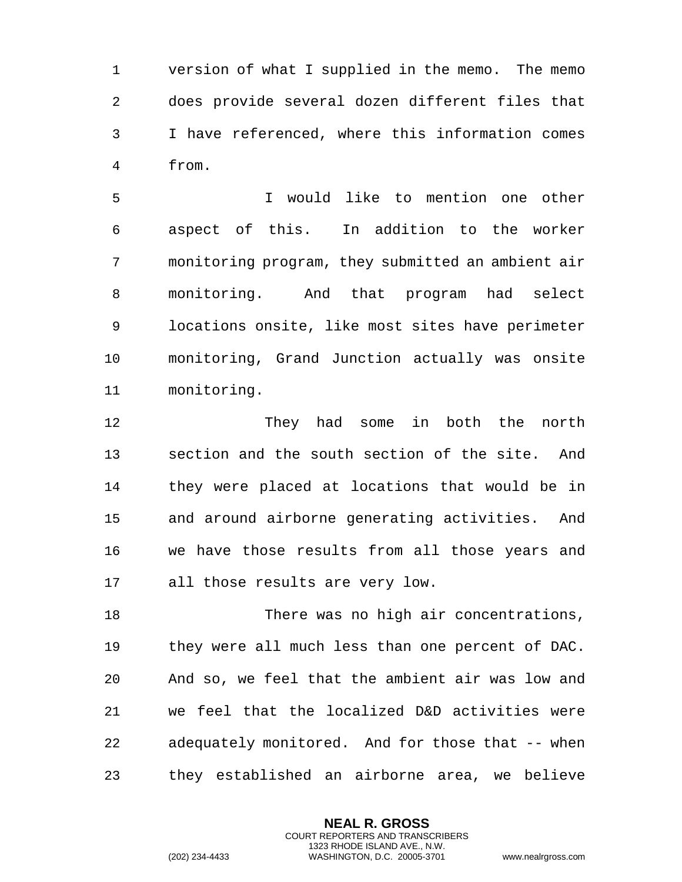version of what I supplied in the memo. The memo does provide several dozen different files that I have referenced, where this information comes from.

 I would like to mention one other aspect of this. In addition to the worker monitoring program, they submitted an ambient air monitoring. And that program had select locations onsite, like most sites have perimeter monitoring, Grand Junction actually was onsite monitoring.

 They had some in both the north section and the south section of the site. And they were placed at locations that would be in and around airborne generating activities. And we have those results from all those years and all those results are very low.

 There was no high air concentrations, they were all much less than one percent of DAC. And so, we feel that the ambient air was low and we feel that the localized D&D activities were adequately monitored. And for those that -- when they established an airborne area, we believe

> **NEAL R. GROSS** COURT REPORTERS AND TRANSCRIBERS 1323 RHODE ISLAND AVE., N.W.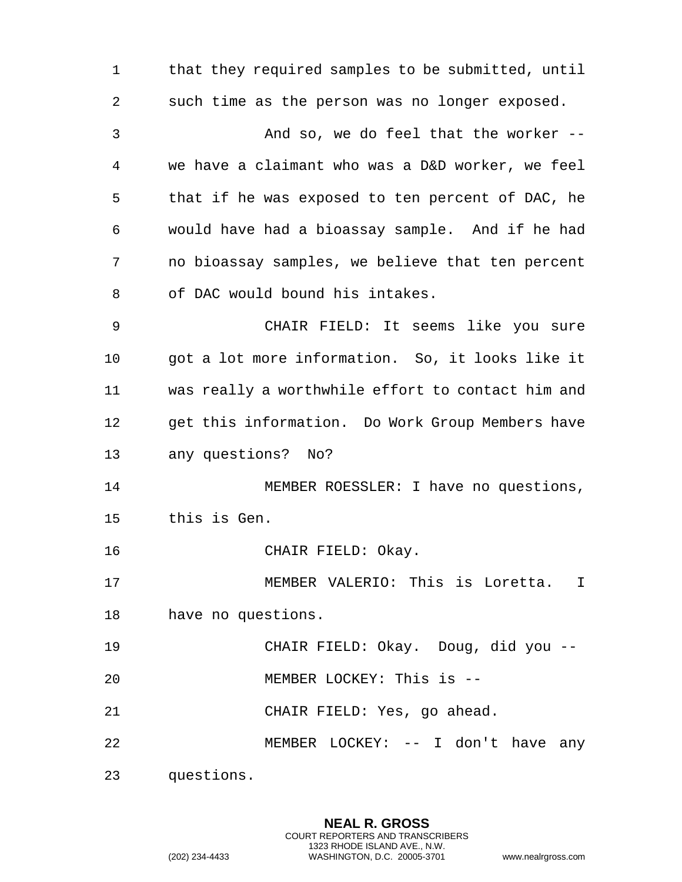that they required samples to be submitted, until such time as the person was no longer exposed. And so, we do feel that the worker -- we have a claimant who was a D&D worker, we feel that if he was exposed to ten percent of DAC, he would have had a bioassay sample. And if he had no bioassay samples, we believe that ten percent of DAC would bound his intakes. CHAIR FIELD: It seems like you sure got a lot more information. So, it looks like it was really a worthwhile effort to contact him and get this information. Do Work Group Members have any questions? No? 14 MEMBER ROESSLER: I have no questions, this is Gen. 16 CHAIR FIELD: Okay. MEMBER VALERIO: This is Loretta. I have no questions. CHAIR FIELD: Okay. Doug, did you -- MEMBER LOCKEY: This is -- CHAIR FIELD: Yes, go ahead. MEMBER LOCKEY: -- I don't have any questions.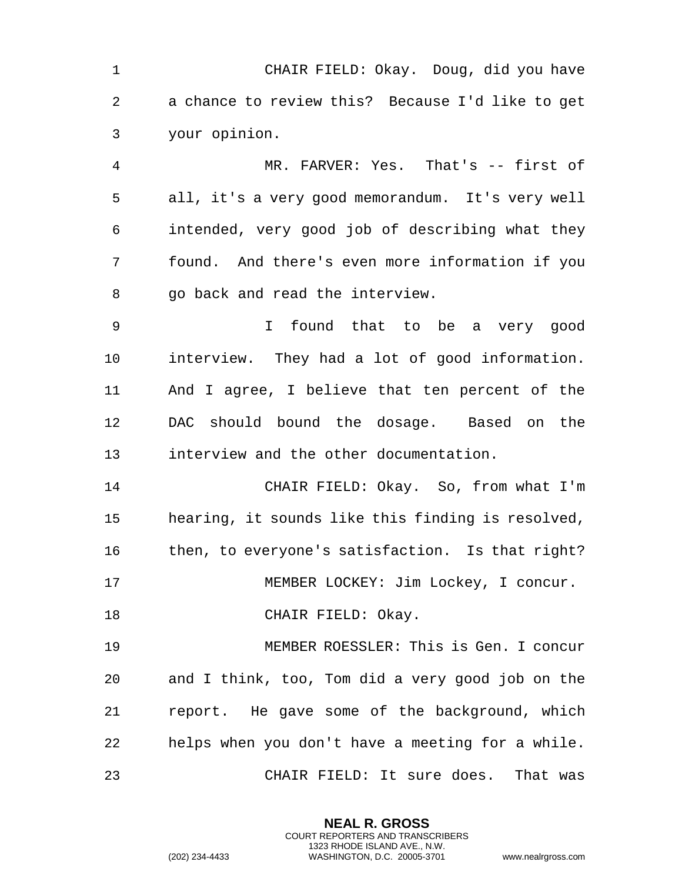CHAIR FIELD: Okay. Doug, did you have a chance to review this? Because I'd like to get your opinion. MR. FARVER: Yes. That's -- first of all, it's a very good memorandum. It's very well intended, very good job of describing what they found. And there's even more information if you go back and read the interview. I found that to be a very good interview. They had a lot of good information. And I agree, I believe that ten percent of the DAC should bound the dosage. Based on the interview and the other documentation. CHAIR FIELD: Okay. So, from what I'm hearing, it sounds like this finding is resolved, then, to everyone's satisfaction. Is that right? MEMBER LOCKEY: Jim Lockey, I concur. 18 CHAIR FIELD: Okay. MEMBER ROESSLER: This is Gen. I concur and I think, too, Tom did a very good job on the report. He gave some of the background, which helps when you don't have a meeting for a while. CHAIR FIELD: It sure does. That was

> **NEAL R. GROSS** COURT REPORTERS AND TRANSCRIBERS 1323 RHODE ISLAND AVE., N.W.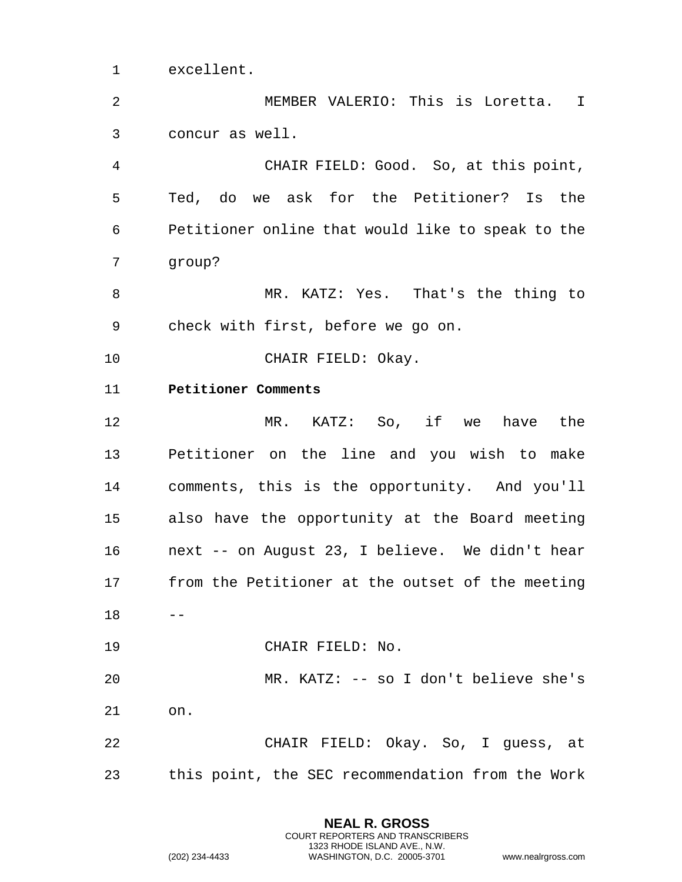1 excellent.

<span id="page-15-0"></span>2 MEMBER VALERIO: This is Loretta. I 3 concur as well. 4 CHAIR FIELD: Good. So, at this point, 5 Ted, do we ask for the Petitioner? Is the 6 Petitioner online that would like to speak to the 7 group? 8 MR. KATZ: Yes. That's the thing to 9 check with first, before we go on. 10 CHAIR FIELD: Okay. 11 **Petitioner Comments**  12 MR. KATZ: So, if we have the 13 Petitioner on the line and you wish to make 14 comments, this is the opportunity. And you'll 15 also have the opportunity at the Board meeting 16 next -- on August 23, I believe. We didn't hear 17 from the Petitioner at the outset of the meeting  $18 - -$ 19 CHAIR FIELD: No. 20 MR. KATZ: -- so I don't believe she's 21 on. 22 CHAIR FIELD: Okay. So, I guess, at 23 this point, the SEC recommendation from the Work

> **NEAL R. GROSS** COURT REPORTERS AND TRANSCRIBERS 1323 RHODE ISLAND AVE., N.W.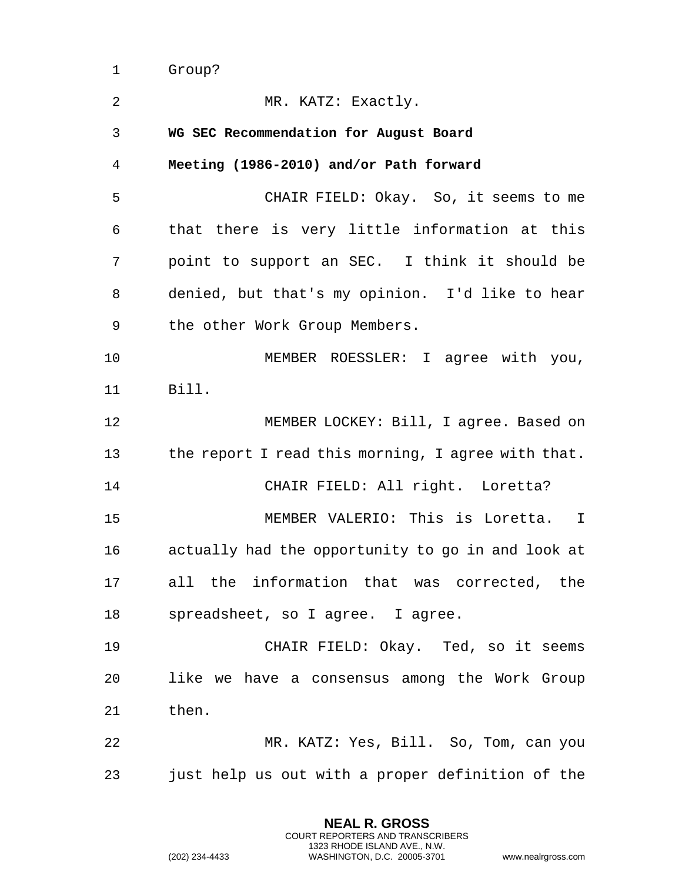1 Group?

<span id="page-16-1"></span><span id="page-16-0"></span>

| 2  | MR. KATZ: Exactly.                                 |
|----|----------------------------------------------------|
| 3  | WG SEC Recommendation for August Board             |
| 4  | Meeting (1986-2010) and/or Path forward            |
| 5  | CHAIR FIELD: Okay. So, it seems to me              |
| 6  | that there is very little information at this      |
| 7  | point to support an SEC. I think it should be      |
| 8  | denied, but that's my opinion. I'd like to hear    |
| 9  | the other Work Group Members.                      |
| 10 | MEMBER ROESSLER: I agree with you,                 |
| 11 | Bill.                                              |
| 12 | MEMBER LOCKEY: Bill, I agree. Based on             |
| 13 | the report I read this morning, I agree with that. |
| 14 | CHAIR FIELD: All right. Loretta?                   |
| 15 | MEMBER VALERIO: This is Loretta. I                 |
| 16 | actually had the opportunity to go in and look at  |
| 17 | all the information that was corrected, the        |
| 18 | spreadsheet, so I agree. I agree.                  |
| 19 | CHAIR FIELD: Okay. Ted, so it seems                |
| 20 | like we have a consensus among the Work Group      |
| 21 | then.                                              |
| 22 | MR. KATZ: Yes, Bill. So, Tom, can you              |
| 23 | just help us out with a proper definition of the   |

**NEAL R. GROSS** COURT REPORTERS AND TRANSCRIBERS 1323 RHODE ISLAND AVE., N.W.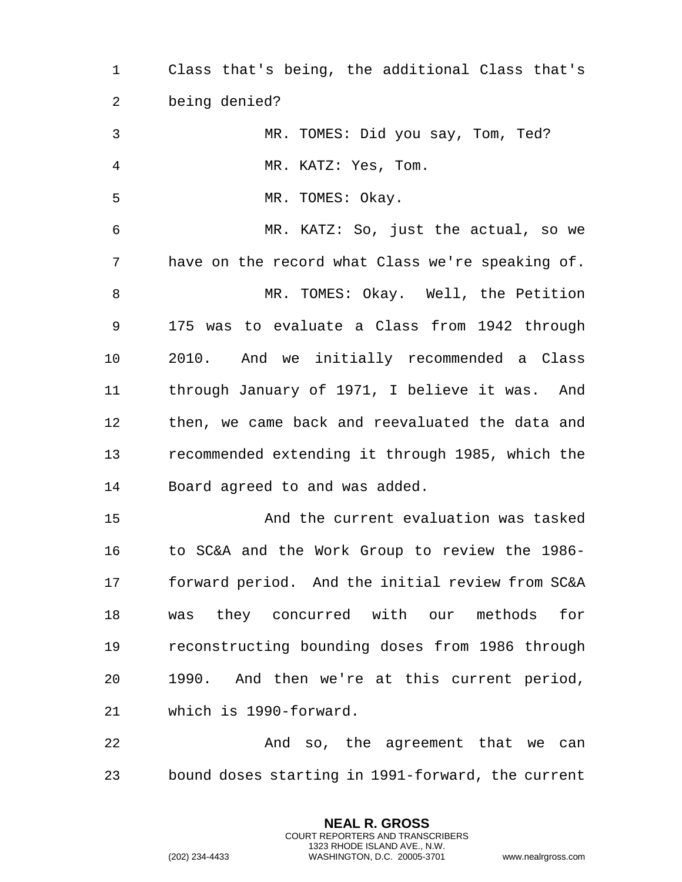Class that's being, the additional Class that's being denied? MR. TOMES: Did you say, Tom, Ted? MR. KATZ: Yes, Tom. 5 MR. TOMES: Okay. MR. KATZ: So, just the actual, so we have on the record what Class we're speaking of. MR. TOMES: Okay. Well, the Petition 175 was to evaluate a Class from 1942 through 2010. And we initially recommended a Class through January of 1971, I believe it was. And then, we came back and reevaluated the data and recommended extending it through 1985, which the Board agreed to and was added. And the current evaluation was tasked to SC&A and the Work Group to review the 1986- forward period. And the initial review from SC&A was they concurred with our methods for reconstructing bounding doses from 1986 through 1990. And then we're at this current period, which is 1990-forward. And so, the agreement that we can

bound doses starting in 1991-forward, the current

**NEAL R. GROSS** COURT REPORTERS AND TRANSCRIBERS 1323 RHODE ISLAND AVE., N.W.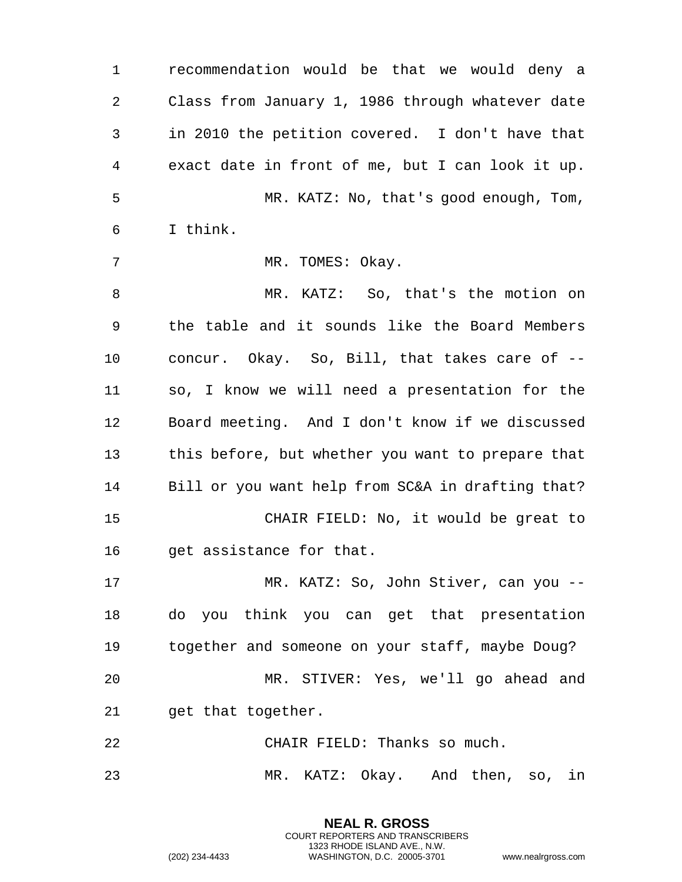recommendation would be that we would deny a Class from January 1, 1986 through whatever date in 2010 the petition covered. I don't have that exact date in front of me, but I can look it up. MR. KATZ: No, that's good enough, Tom, I think. 7 MR. TOMES: Okay. MR. KATZ: So, that's the motion on the table and it sounds like the Board Members concur. Okay. So, Bill, that takes care of -- so, I know we will need a presentation for the Board meeting. And I don't know if we discussed this before, but whether you want to prepare that Bill or you want help from SC&A in drafting that? CHAIR FIELD: No, it would be great to get assistance for that. MR. KATZ: So, John Stiver, can you -- do you think you can get that presentation together and someone on your staff, maybe Doug? MR. STIVER: Yes, we'll go ahead and 21 get that together. CHAIR FIELD: Thanks so much. MR. KATZ: Okay. And then, so, in

> **NEAL R. GROSS** COURT REPORTERS AND TRANSCRIBERS 1323 RHODE ISLAND AVE., N.W.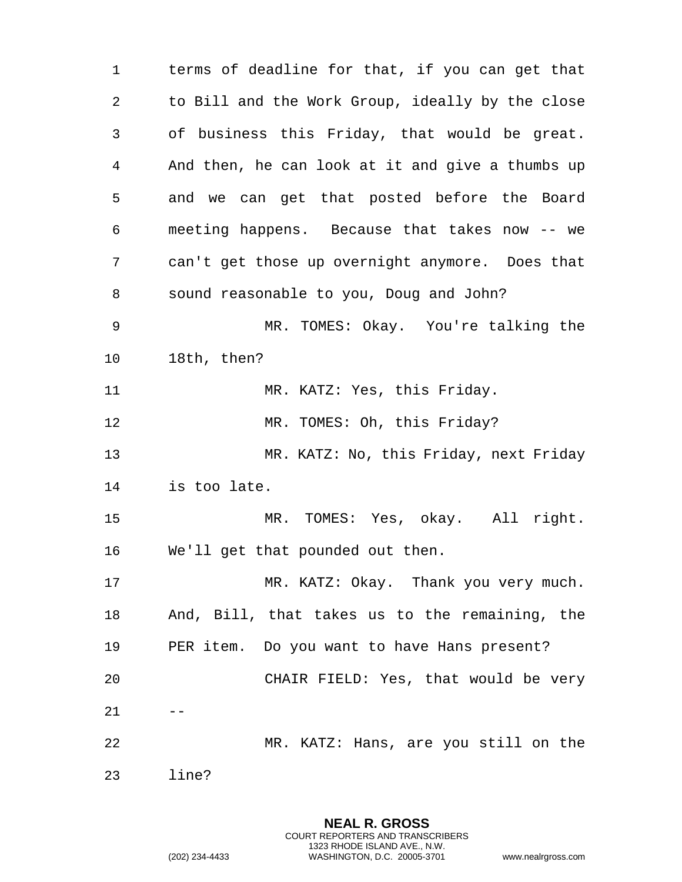terms of deadline for that, if you can get that to Bill and the Work Group, ideally by the close of business this Friday, that would be great. And then, he can look at it and give a thumbs up and we can get that posted before the Board meeting happens. Because that takes now -- we can't get those up overnight anymore. Does that sound reasonable to you, Doug and John? MR. TOMES: Okay. You're talking the 18th, then? 11 MR. KATZ: Yes, this Friday. 12 MR. TOMES: Oh, this Friday? MR. KATZ: No, this Friday, next Friday is too late. MR. TOMES: Yes, okay. All right. We'll get that pounded out then. MR. KATZ: Okay. Thank you very much. And, Bill, that takes us to the remaining, the PER item. Do you want to have Hans present? CHAIR FIELD: Yes, that would be very MR. KATZ: Hans, are you still on the line?

> **NEAL R. GROSS** COURT REPORTERS AND TRANSCRIBERS 1323 RHODE ISLAND AVE., N.W.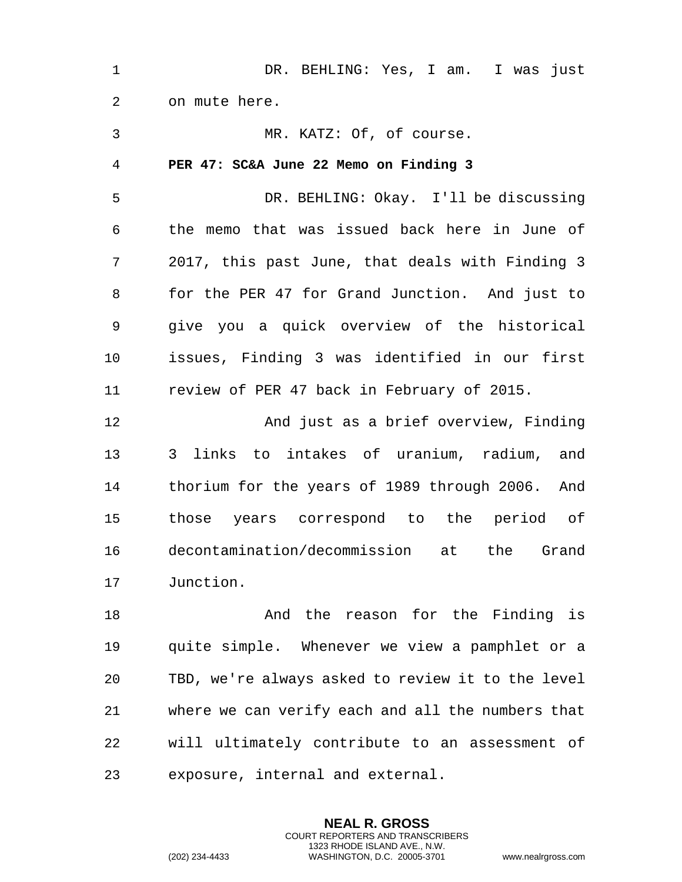<span id="page-20-0"></span>1 DR. BEHLING: Yes, I am. I was just 2 on mute here. 3 MR. KATZ: Of, of course. 4 **PER 47: SC&A June 22 Memo on Finding 3**  5 DR. BEHLING: Okay. I'll be discussing 6 the memo that was issued back here in June of 7 2017, this past June, that deals with Finding 3 8 for the PER 47 for Grand Junction. And just to 9 give you a quick overview of the historical 10 issues, Finding 3 was identified in our first 11 review of PER 47 back in February of 2015. 12 And just as a brief overview, Finding 13 3 links to intakes of uranium, radium, and 14 thorium for the years of 1989 through 2006. And 15 those years correspond to the period of 16 decontamination/decommission at the Grand 17 Junction. 18 And the reason for the Finding is 19 quite simple. Whenever we view a pamphlet or a 20 TBD, we're always asked to review it to the level 21 where we can verify each and all the numbers that 22 will ultimately contribute to an assessment of

23 exposure, internal and external.

**NEAL R. GROSS** COURT REPORTERS AND TRANSCRIBERS 1323 RHODE ISLAND AVE., N.W.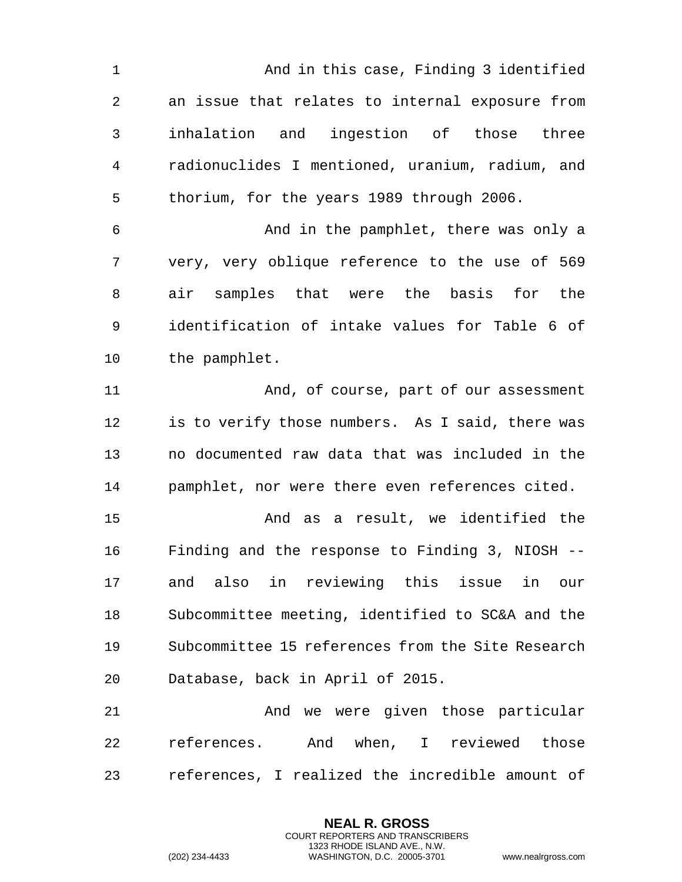And in this case, Finding 3 identified an issue that relates to internal exposure from inhalation and ingestion of those three radionuclides I mentioned, uranium, radium, and thorium, for the years 1989 through 2006. And in the pamphlet, there was only a very, very oblique reference to the use of 569 air samples that were the basis for the identification of intake values for Table 6 of the pamphlet. 11 And, of course, part of our assessment is to verify those numbers. As I said, there was no documented raw data that was included in the pamphlet, nor were there even references cited. And as a result, we identified the Finding and the response to Finding 3, NIOSH -- and also in reviewing this issue in our Subcommittee meeting, identified to SC&A and the Subcommittee 15 references from the Site Research Database, back in April of 2015. And we were given those particular references. And when, I reviewed those

references, I realized the incredible amount of

**NEAL R. GROSS** COURT REPORTERS AND TRANSCRIBERS 1323 RHODE ISLAND AVE., N.W.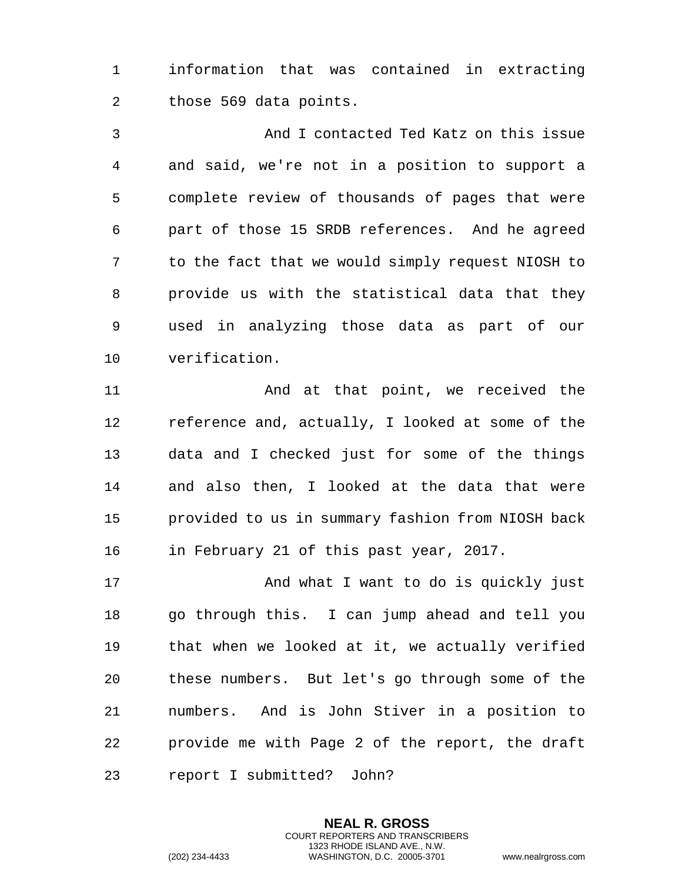information that was contained in extracting those 569 data points.

 And I contacted Ted Katz on this issue and said, we're not in a position to support a complete review of thousands of pages that were part of those 15 SRDB references. And he agreed to the fact that we would simply request NIOSH to provide us with the statistical data that they used in analyzing those data as part of our verification.

 And at that point, we received the reference and, actually, I looked at some of the data and I checked just for some of the things and also then, I looked at the data that were provided to us in summary fashion from NIOSH back in February 21 of this past year, 2017.

 And what I want to do is quickly just go through this. I can jump ahead and tell you that when we looked at it, we actually verified these numbers. But let's go through some of the numbers. And is John Stiver in a position to provide me with Page 2 of the report, the draft report I submitted? John?

> **NEAL R. GROSS** COURT REPORTERS AND TRANSCRIBERS 1323 RHODE ISLAND AVE., N.W.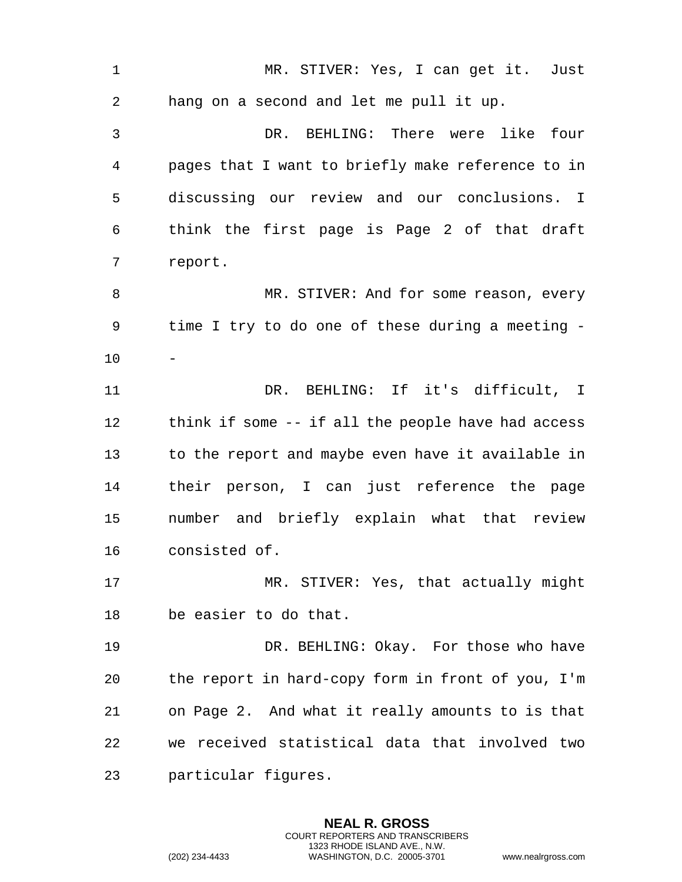MR. STIVER: Yes, I can get it. Just hang on a second and let me pull it up. DR. BEHLING: There were like four pages that I want to briefly make reference to in discussing our review and our conclusions. I think the first page is Page 2 of that draft report. MR. STIVER: And for some reason, every time I try to do one of these during a meeting - DR. BEHLING: If it's difficult, I think if some -- if all the people have had access to the report and maybe even have it available in their person, I can just reference the page number and briefly explain what that review consisted of. MR. STIVER: Yes, that actually might be easier to do that. DR. BEHLING: Okay. For those who have the report in hard-copy form in front of you, I'm on Page 2. And what it really amounts to is that we received statistical data that involved two particular figures.

> **NEAL R. GROSS** COURT REPORTERS AND TRANSCRIBERS 1323 RHODE ISLAND AVE., N.W.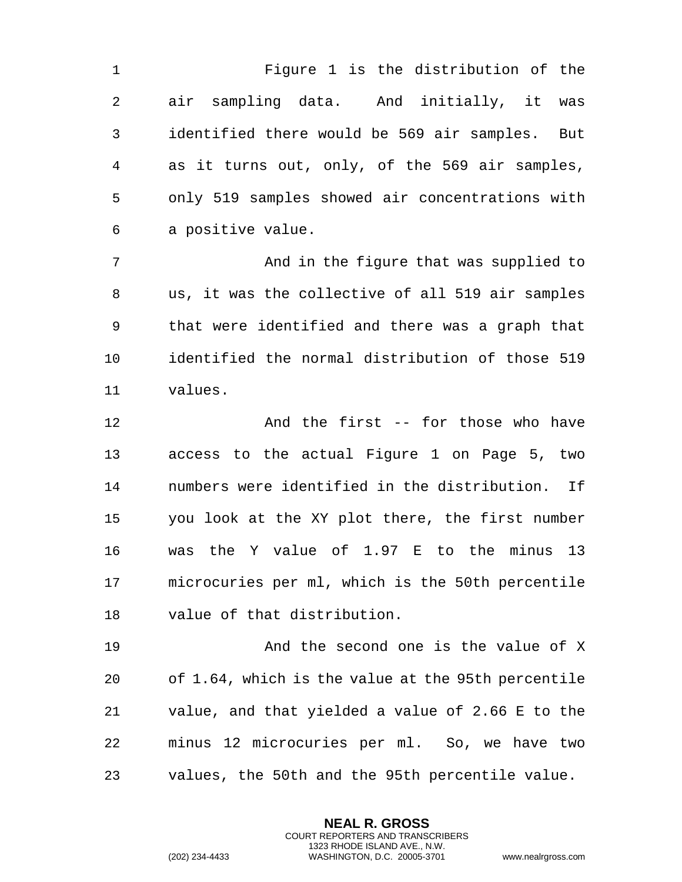Figure 1 is the distribution of the air sampling data. And initially, it was identified there would be 569 air samples. But as it turns out, only, of the 569 air samples, only 519 samples showed air concentrations with a positive value.

 And in the figure that was supplied to us, it was the collective of all 519 air samples that were identified and there was a graph that identified the normal distribution of those 519 values.

12 And the first -- for those who have access to the actual Figure 1 on Page 5, two numbers were identified in the distribution. If you look at the XY plot there, the first number was the Y value of 1.97 E to the minus 13 microcuries per ml, which is the 50th percentile value of that distribution.

 And the second one is the value of X of 1.64, which is the value at the 95th percentile value, and that yielded a value of 2.66 E to the minus 12 microcuries per ml. So, we have two values, the 50th and the 95th percentile value.

> **NEAL R. GROSS** COURT REPORTERS AND TRANSCRIBERS 1323 RHODE ISLAND AVE., N.W.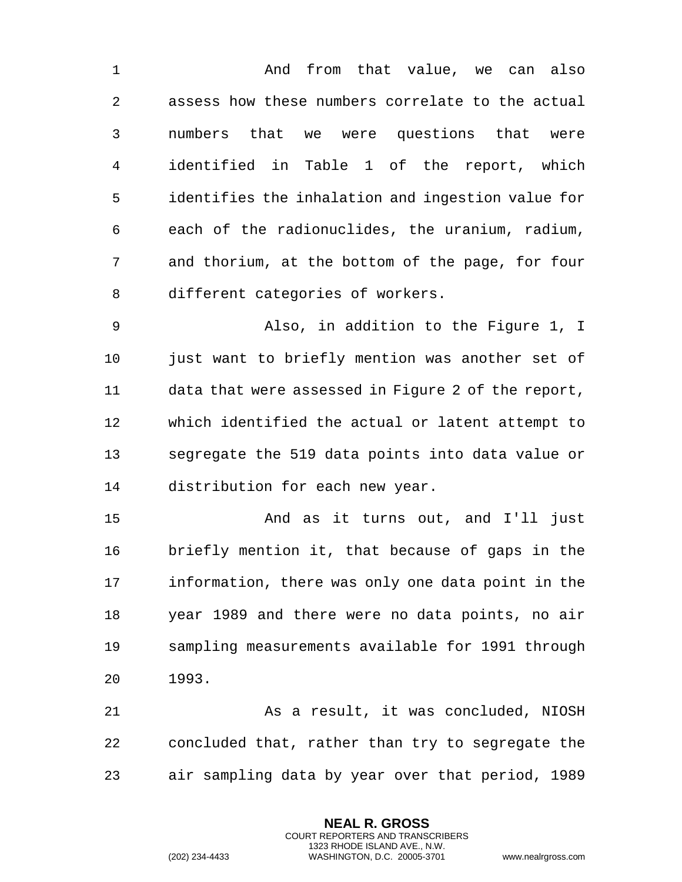And from that value, we can also assess how these numbers correlate to the actual numbers that we were questions that were identified in Table 1 of the report, which identifies the inhalation and ingestion value for each of the radionuclides, the uranium, radium, and thorium, at the bottom of the page, for four different categories of workers.

 Also, in addition to the Figure 1, I just want to briefly mention was another set of data that were assessed in Figure 2 of the report, which identified the actual or latent attempt to segregate the 519 data points into data value or distribution for each new year.

 And as it turns out, and I'll just briefly mention it, that because of gaps in the information, there was only one data point in the year 1989 and there were no data points, no air sampling measurements available for 1991 through 1993.

 As a result, it was concluded, NIOSH concluded that, rather than try to segregate the air sampling data by year over that period, 1989

> **NEAL R. GROSS** COURT REPORTERS AND TRANSCRIBERS 1323 RHODE ISLAND AVE., N.W.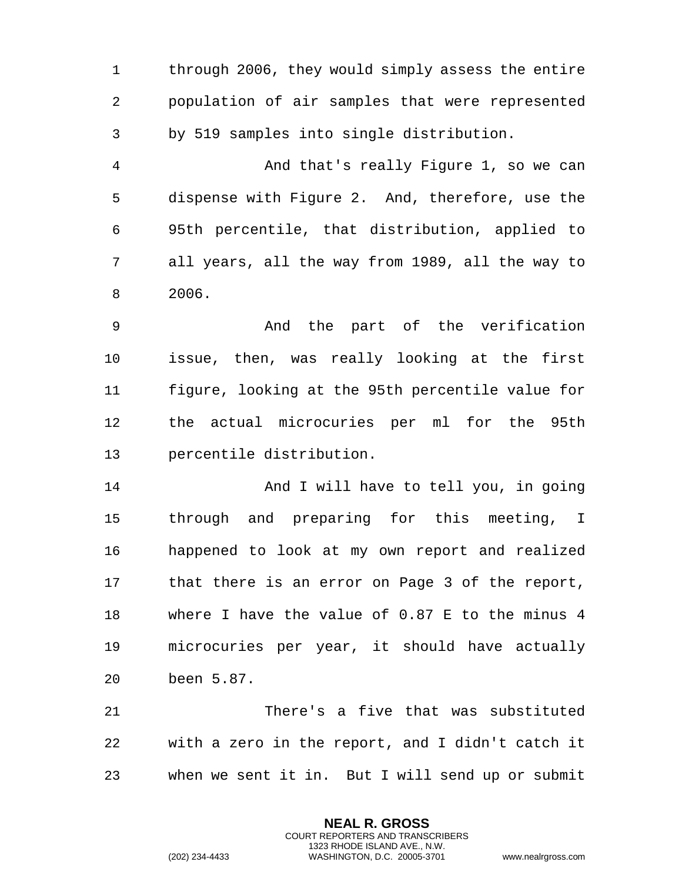through 2006, they would simply assess the entire population of air samples that were represented by 519 samples into single distribution. And that's really Figure 1, so we can

 dispense with Figure 2. And, therefore, use the 95th percentile, that distribution, applied to all years, all the way from 1989, all the way to 2006.

 And the part of the verification issue, then, was really looking at the first figure, looking at the 95th percentile value for the actual microcuries per ml for the 95th percentile distribution.

**And I will have to tell you, in going**  through and preparing for this meeting, I happened to look at my own report and realized that there is an error on Page 3 of the report, where I have the value of 0.87 E to the minus 4 microcuries per year, it should have actually been 5.87.

 There's a five that was substituted with a zero in the report, and I didn't catch it when we sent it in. But I will send up or submit

> **NEAL R. GROSS** COURT REPORTERS AND TRANSCRIBERS 1323 RHODE ISLAND AVE., N.W.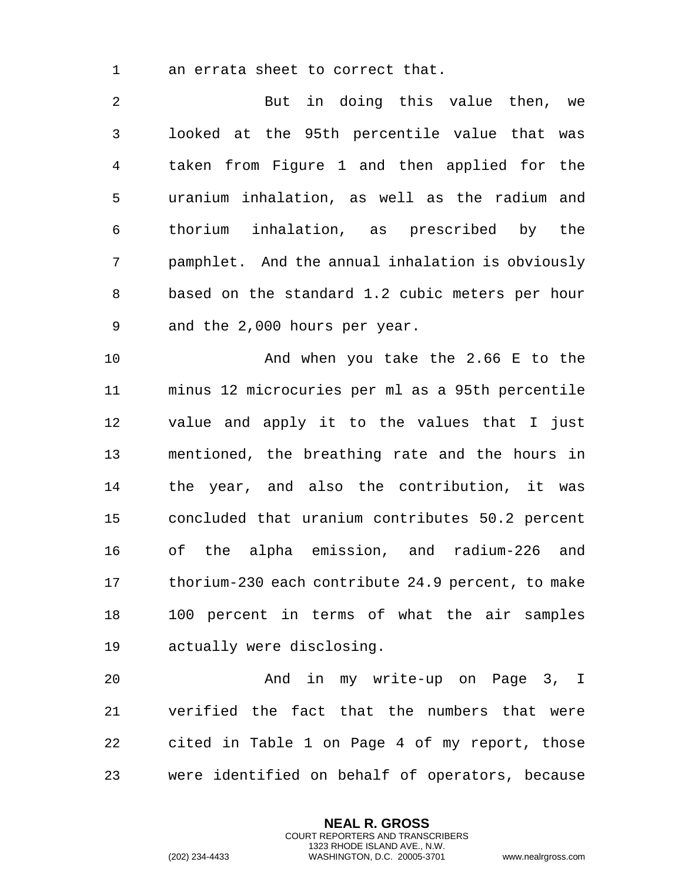an errata sheet to correct that.

 But in doing this value then, we looked at the 95th percentile value that was taken from Figure 1 and then applied for the uranium inhalation, as well as the radium and thorium inhalation, as prescribed by the pamphlet. And the annual inhalation is obviously based on the standard 1.2 cubic meters per hour and the 2,000 hours per year.

 And when you take the 2.66 E to the minus 12 microcuries per ml as a 95th percentile value and apply it to the values that I just mentioned, the breathing rate and the hours in the year, and also the contribution, it was concluded that uranium contributes 50.2 percent of the alpha emission, and radium-226 and thorium-230 each contribute 24.9 percent, to make 100 percent in terms of what the air samples actually were disclosing.

 And in my write-up on Page 3, I verified the fact that the numbers that were cited in Table 1 on Page 4 of my report, those were identified on behalf of operators, because

> **NEAL R. GROSS** COURT REPORTERS AND TRANSCRIBERS 1323 RHODE ISLAND AVE., N.W.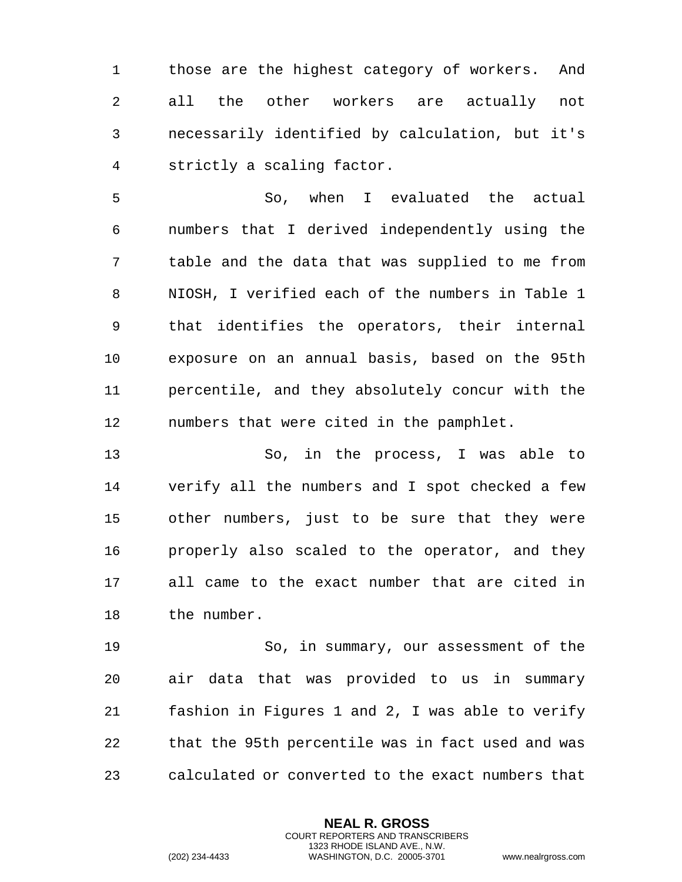those are the highest category of workers. And all the other workers are actually not necessarily identified by calculation, but it's strictly a scaling factor.

 So, when I evaluated the actual numbers that I derived independently using the table and the data that was supplied to me from NIOSH, I verified each of the numbers in Table 1 that identifies the operators, their internal exposure on an annual basis, based on the 95th percentile, and they absolutely concur with the numbers that were cited in the pamphlet.

 So, in the process, I was able to verify all the numbers and I spot checked a few other numbers, just to be sure that they were properly also scaled to the operator, and they all came to the exact number that are cited in the number.

 So, in summary, our assessment of the air data that was provided to us in summary fashion in Figures 1 and 2, I was able to verify that the 95th percentile was in fact used and was calculated or converted to the exact numbers that

> **NEAL R. GROSS** COURT REPORTERS AND TRANSCRIBERS 1323 RHODE ISLAND AVE., N.W.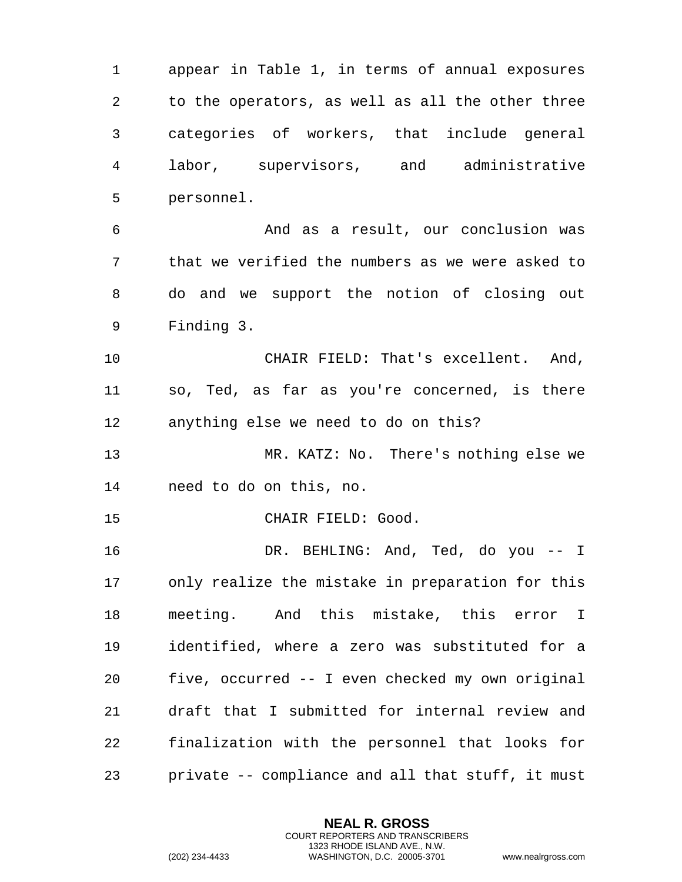appear in Table 1, in terms of annual exposures to the operators, as well as all the other three categories of workers, that include general labor, supervisors, and administrative personnel.

 And as a result, our conclusion was that we verified the numbers as we were asked to do and we support the notion of closing out Finding 3.

 CHAIR FIELD: That's excellent. And, so, Ted, as far as you're concerned, is there anything else we need to do on this?

 MR. KATZ: No. There's nothing else we need to do on this, no.

CHAIR FIELD: Good.

 DR. BEHLING: And, Ted, do you -- I only realize the mistake in preparation for this meeting. And this mistake, this error I identified, where a zero was substituted for a five, occurred -- I even checked my own original draft that I submitted for internal review and finalization with the personnel that looks for private -- compliance and all that stuff, it must

> **NEAL R. GROSS** COURT REPORTERS AND TRANSCRIBERS 1323 RHODE ISLAND AVE., N.W.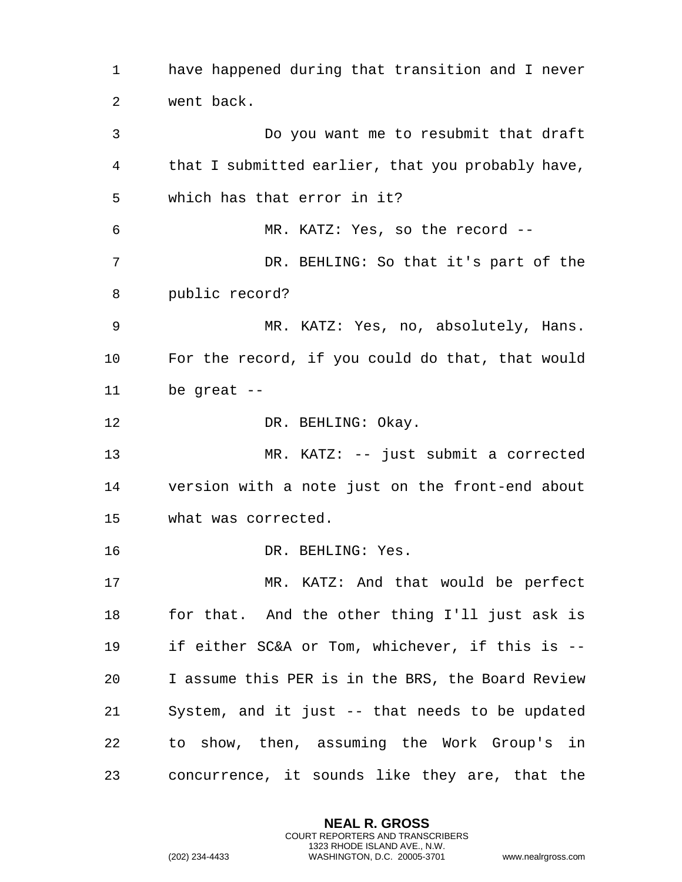have happened during that transition and I never went back. Do you want me to resubmit that draft that I submitted earlier, that you probably have, which has that error in it? MR. KATZ: Yes, so the record -- DR. BEHLING: So that it's part of the public record? MR. KATZ: Yes, no, absolutely, Hans. For the record, if you could do that, that would be great -- 12 DR. BEHLING: Okay. MR. KATZ: -- just submit a corrected version with a note just on the front-end about what was corrected. 16 DR. BEHLING: Yes. MR. KATZ: And that would be perfect for that. And the other thing I'll just ask is if either SC&A or Tom, whichever, if this is -- I assume this PER is in the BRS, the Board Review System, and it just -- that needs to be updated to show, then, assuming the Work Group's in concurrence, it sounds like they are, that the

> **NEAL R. GROSS** COURT REPORTERS AND TRANSCRIBERS 1323 RHODE ISLAND AVE., N.W.

```
(202) 234-4433 WASHINGTON, D.C. 20005-3701 www.nealrgross.com
```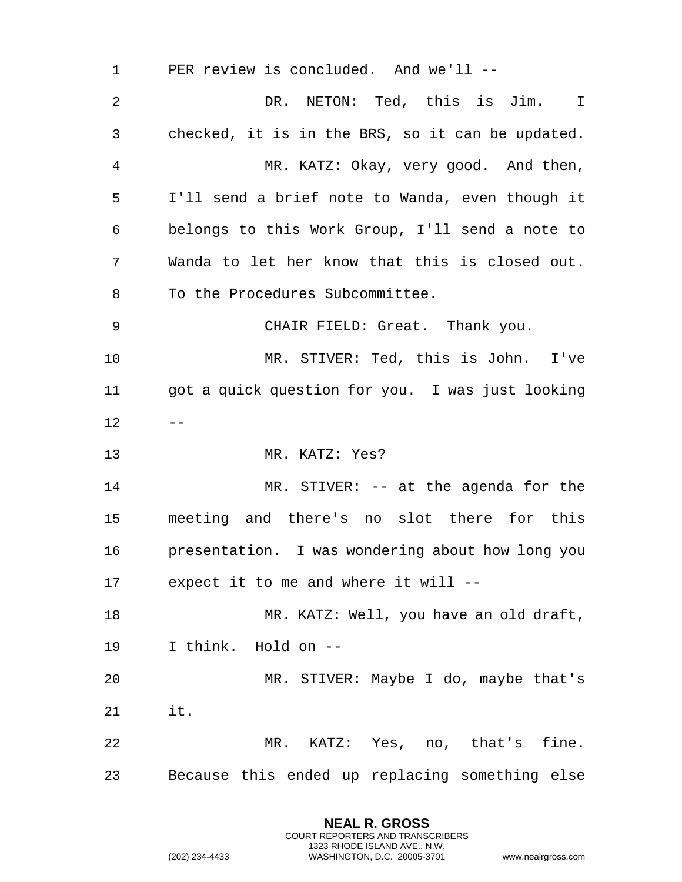PER review is concluded. And we'll -- DR. NETON: Ted, this is Jim. I checked, it is in the BRS, so it can be updated. MR. KATZ: Okay, very good. And then, I'll send a brief note to Wanda, even though it belongs to this Work Group, I'll send a note to Wanda to let her know that this is closed out. To the Procedures Subcommittee. CHAIR FIELD: Great. Thank you. MR. STIVER: Ted, this is John. I've got a quick question for you. I was just looking  $12 - -$  MR. KATZ: Yes? MR. STIVER: -- at the agenda for the meeting and there's no slot there for this presentation. I was wondering about how long you expect it to me and where it will -- MR. KATZ: Well, you have an old draft, I think. Hold on -- MR. STIVER: Maybe I do, maybe that's it. MR. KATZ: Yes, no, that's fine. Because this ended up replacing something else

> **NEAL R. GROSS** COURT REPORTERS AND TRANSCRIBERS 1323 RHODE ISLAND AVE., N.W.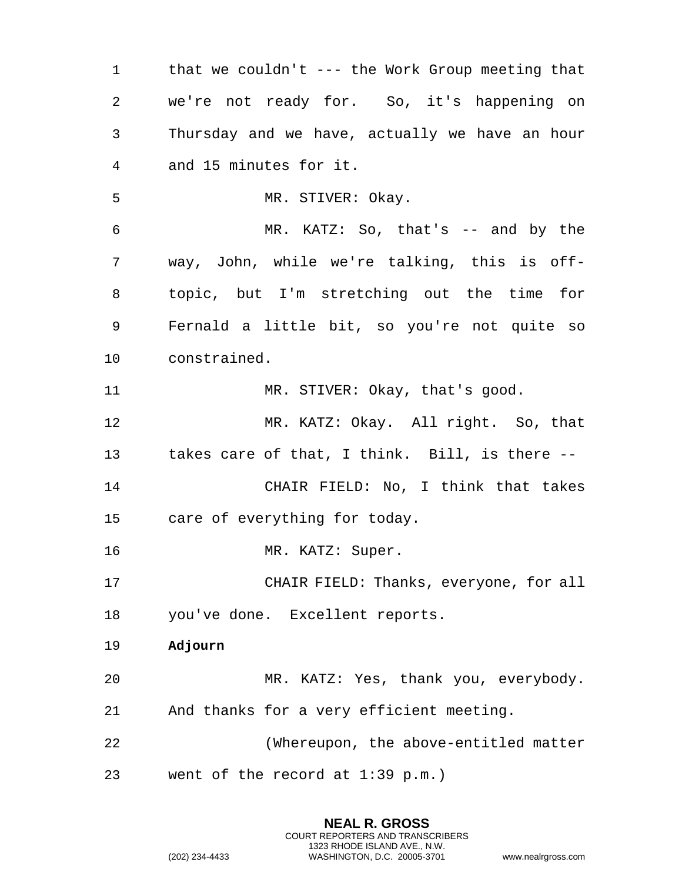1 that we couldn't --- the Work Group meeting that 2 we're not ready for. So, it's happening on 3 Thursday and we have, actually we have an hour 4 and 15 minutes for it. 5 MR. STIVER: Okay. 6 MR. KATZ: So, that's -- and by the 7 way, John, while we're talking, this is off-8 topic, but I'm stretching out the time for 9 Fernald a little bit, so you're not quite so 10 constrained. 11 MR. STIVER: Okay, that's good. 12 MR. KATZ: Okay. All right. So, that 13 takes care of that, I think. Bill, is there -- 14 CHAIR FIELD: No, I think that takes 15 care of everything for today. 16 MR. KATZ: Super. 17 CHAIR FIELD: Thanks, everyone, for all 18 you've done. Excellent reports. 19 **Adjourn**  20 MR. KATZ: Yes, thank you, everybody. 21 And thanks for a very efficient meeting. 22 (Whereupon, the above-entitled matter 23 went of the record at 1:39 p.m.)

> <span id="page-32-0"></span>**NEAL R. GROSS** COURT REPORTERS AND TRANSCRIBERS 1323 RHODE ISLAND AVE., N.W.